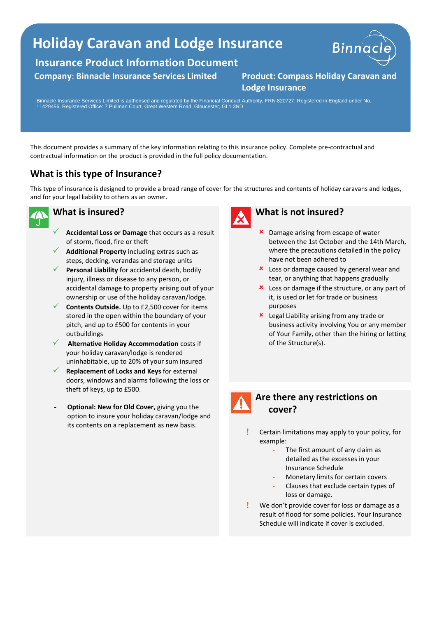## **Holiday Caravan and Lodge Insurance**

**Insurance Product Information Document**

#### **Company**: **Binnacle Insurance Services Limited Product: Compass Holiday Caravan and**



# **Lodge Insurance**

Binnacle Insurance Services Limited is authorised and regulated by the Financial Conduct Authority, FRN 820727. Registered in England under No. 11429456. Registered Office: 7 Pullman Court, Great Western Road, Gloucester, GL1 3ND

This document provides a summary of the key information relating to this insurance policy. Complete pre-contractual and contractual information on the product is provided in the full policy documentation.

### **What is this type of Insurance?**

This type of insurance is designed to provide a broad range of cover for the structures and contents of holiday caravans and lodges, and for your legal liability to others as an owner.



#### **What is insured?**

- ✓ **Accidental Loss or Damage** that occurs as a result of storm, flood, fire or theft
- Additional Property including extras such as steps, decking, verandas and storage units
- Personal Liability for accidental death, bodily injury, illness or disease to any person, or accidental damage to property arising out of your ownership or use of the holiday caravan/lodge.
- **Contents Outside.** Up to £2,500 cover for items stored in the open within the boundary of your pitch, and up to £500 for contents in your outbuildings
- ✓ **Alternative Holiday Accommodation** costs if your holiday caravan/lodge is rendered uninhabitable, up to 20% of your sum insured
- ✓ **Replacement of Locks and Keys** for external doors, windows and alarms following the loss or theft of keys, up to £500.
- **- Optional: New for Old Cover,** giving you the option to insure your holiday caravan/lodge and its contents on a replacement as new basis.



#### **What is not insured?**

- **x** Damage arising from escape of water between the 1st October and the 14th March, where the precautions detailed in the policy have not been adhered to
- **x** Loss or damage caused by general wear and tear, or anything that happens gradually
- **x** Loss or damage if the structure, or any part of it, is used or let for trade or business purposes
- **x** Legal Liability arising from any trade or business activity involving You or any member of Your Family, other than the hiring or letting of the Structure(s).



#### **Are there any restrictions on cover?**

- Certain limitations may apply to your policy, for example:
	- **-** The first amount of any claim as detailed as the excesses in your Insurance Schedule
	- **-** Monetary limits for certain covers
	- **-** Clauses that exclude certain types of loss or damage.
- We don't provide cover for loss or damage as a result of flood for some policies. Your Insurance Schedule will indicate if cover is excluded.